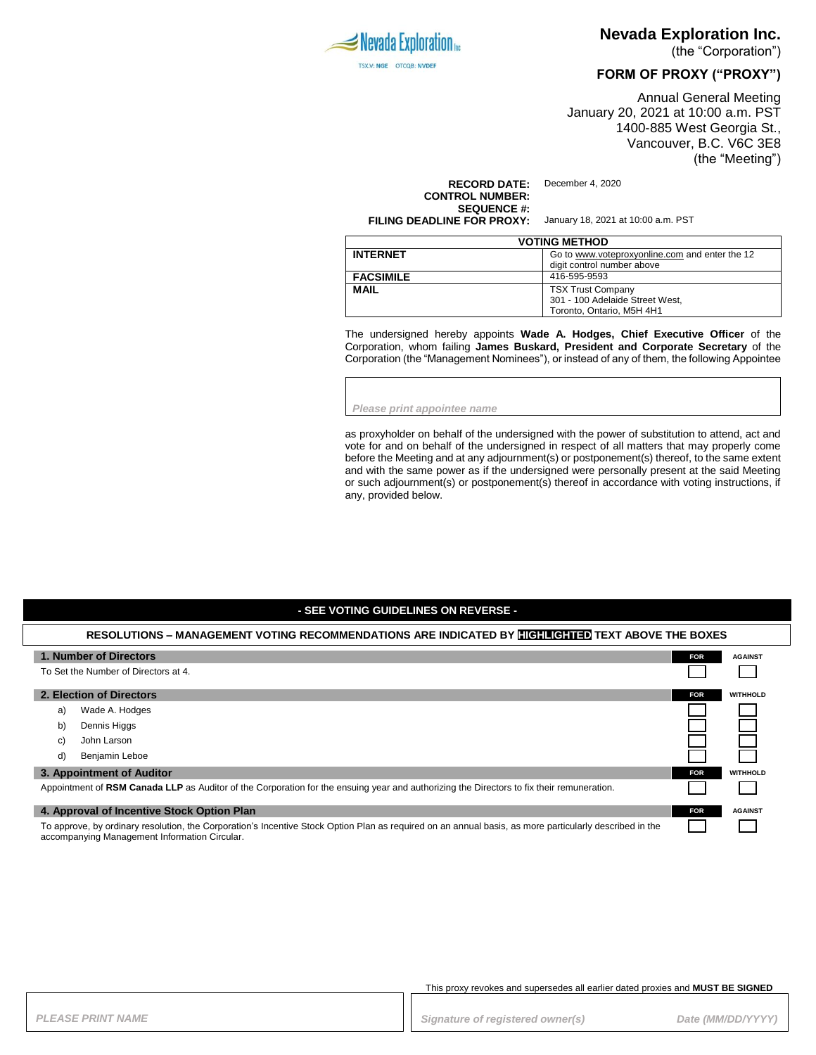

### **Nevada Exploration Inc.**

(the "Corporation")

### **FORM OF PROXY ("PROXY")**

Annual General Meeting January 20, 2021 at 10:00 a.m. PST 1400-885 West Georgia St., Vancouver, B.C. V6C 3E8 (the "Meeting")

**RECORD DATE:** December 4, 2020 **CONTROL NUMBER: SEQUENCE #: FILING DEADLINE FOR PROXY:** January 18, 2021 at 10:00 a.m. PST

| <b>VOTING METHOD</b> |                                                |  |
|----------------------|------------------------------------------------|--|
| <b>INTERNET</b>      | Go to www.voteproxyonline.com and enter the 12 |  |
|                      | digit control number above                     |  |
| <b>FACSIMILE</b>     | 416-595-9593                                   |  |
| <b>MAIL</b>          | <b>TSX Trust Company</b>                       |  |
|                      | 301 - 100 Adelaide Street West,                |  |
|                      | Toronto, Ontario, M5H 4H1                      |  |

The undersigned hereby appoints **Wade A. Hodges, Chief Executive Officer** of the Corporation, whom failing **James Buskard, President and Corporate Secretary** of the Corporation (the "Management Nominees"), or instead of any of them, the following Appointee

*Please print appointee name*

as proxyholder on behalf of the undersigned with the power of substitution to attend, act and vote for and on behalf of the undersigned in respect of all matters that may properly come before the Meeting and at any adjournment(s) or postponement(s) thereof, to the same extent and with the same power as if the undersigned were personally present at the said Meeting or such adjournment(s) or postponement(s) thereof in accordance with voting instructions, if any, provided below.

#### **- SEE VOTING GUIDELINES ON REVERSE -**

## **RESOLUTIONS – MANAGEMENT VOTING RECOMMENDATIONS ARE INDICATED BY HIGHLIGHTED TEXT ABOVE THE BOXES**

| 1. Number of Directors                                                                                                                                  |                | <b>FOR</b> | <b>AGAINST</b>  |
|---------------------------------------------------------------------------------------------------------------------------------------------------------|----------------|------------|-----------------|
| To Set the Number of Directors at 4.                                                                                                                    |                |            |                 |
| 2. Election of Directors                                                                                                                                |                | <b>FOR</b> | <b>WITHHOLD</b> |
| a)                                                                                                                                                      | Wade A. Hodges |            |                 |
| b)                                                                                                                                                      | Dennis Higgs   |            |                 |
| C)                                                                                                                                                      | John Larson    |            |                 |
| d)                                                                                                                                                      | Benjamin Leboe |            |                 |
| 3. Appointment of Auditor                                                                                                                               |                | <b>FOR</b> | <b>WITHHOLD</b> |
| Appointment of RSM Canada LLP as Auditor of the Corporation for the ensuing year and authorizing the Directors to fix their remuneration.               |                |            |                 |
| 4. Approval of Incentive Stock Option Plan                                                                                                              |                | <b>FOR</b> | <b>AGAINST</b>  |
| To approve, by ordinary resolution, the Corporation's Incentive Stock Option Plan as required on an annual basis, as more particularly described in the |                |            |                 |

accompanying Management Information Circular.

This proxy revokes and supersedes all earlier dated proxies and **MUST BE SIGNED**

PLEASE PRINT NAME *PLEASE PRINT NAME PLEASE PRINT NAME Signature of registered owner(s)**Date (MM/DD/YYYY)*